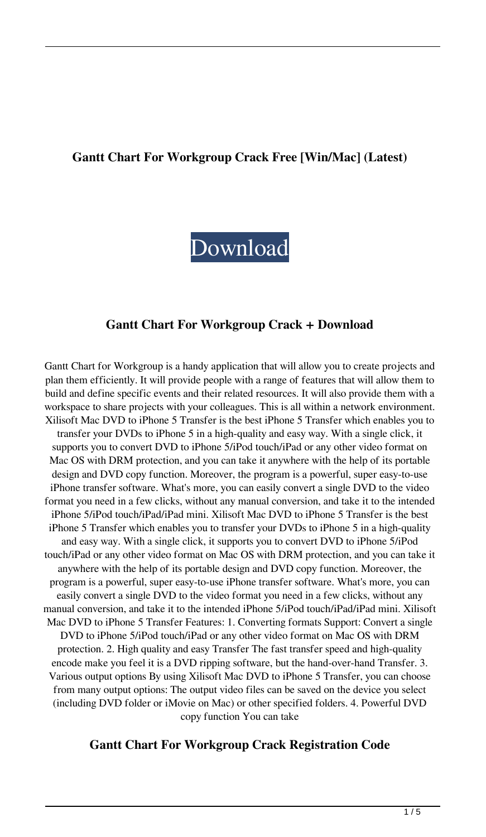#### **Gantt Chart For Workgroup Crack Free [Win/Mac] (Latest)**

# [Download](http://evacdir.com/auberge/prairie/fattier/greg./ZG93bmxvYWR8c2E0YTNSamZId3hOalUwTlRJeU1URXdmSHd5TlRrd2ZId29UU2tnVjI5eVpIQnlaWE56SUZ0WVRVeFNVRU1nVmpJZ1VFUkdYUQ/jhalak/R2FudHQgQ2hhcnQgZm9yIFdvcmtncm91cAR2F.perplexed)

#### **Gantt Chart For Workgroup Crack + Download**

Gantt Chart for Workgroup is a handy application that will allow you to create projects and plan them efficiently. It will provide people with a range of features that will allow them to build and define specific events and their related resources. It will also provide them with a workspace to share projects with your colleagues. This is all within a network environment. Xilisoft Mac DVD to iPhone 5 Transfer is the best iPhone 5 Transfer which enables you to transfer your DVDs to iPhone 5 in a high-quality and easy way. With a single click, it supports you to convert DVD to iPhone 5/iPod touch/iPad or any other video format on Mac OS with DRM protection, and you can take it anywhere with the help of its portable design and DVD copy function. Moreover, the program is a powerful, super easy-to-use iPhone transfer software. What's more, you can easily convert a single DVD to the video format you need in a few clicks, without any manual conversion, and take it to the intended iPhone 5/iPod touch/iPad/iPad mini. Xilisoft Mac DVD to iPhone 5 Transfer is the best iPhone 5 Transfer which enables you to transfer your DVDs to iPhone 5 in a high-quality and easy way. With a single click, it supports you to convert DVD to iPhone 5/iPod touch/iPad or any other video format on Mac OS with DRM protection, and you can take it anywhere with the help of its portable design and DVD copy function. Moreover, the program is a powerful, super easy-to-use iPhone transfer software. What's more, you can easily convert a single DVD to the video format you need in a few clicks, without any manual conversion, and take it to the intended iPhone 5/iPod touch/iPad/iPad mini. Xilisoft Mac DVD to iPhone 5 Transfer Features: 1. Converting formats Support: Convert a single DVD to iPhone 5/iPod touch/iPad or any other video format on Mac OS with DRM protection. 2. High quality and easy Transfer The fast transfer speed and high-quality encode make you feel it is a DVD ripping software, but the hand-over-hand Transfer. 3. Various output options By using Xilisoft Mac DVD to iPhone 5 Transfer, you can choose from many output options: The output video files can be saved on the device you select (including DVD folder or iMovie on Mac) or other specified folders. 4. Powerful DVD copy function You can take

#### **Gantt Chart For Workgroup Crack Registration Code**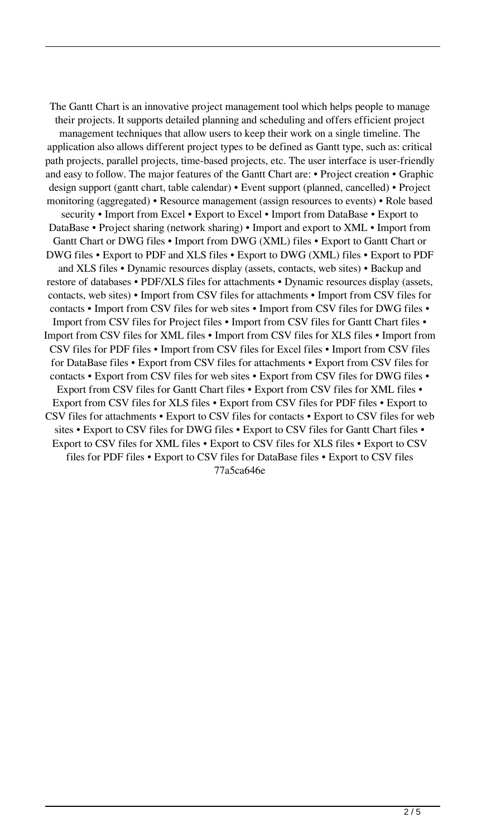The Gantt Chart is an innovative project management tool which helps people to manage their projects. It supports detailed planning and scheduling and offers efficient project management techniques that allow users to keep their work on a single timeline. The application also allows different project types to be defined as Gantt type, such as: critical path projects, parallel projects, time-based projects, etc. The user interface is user-friendly and easy to follow. The major features of the Gantt Chart are: • Project creation • Graphic design support (gantt chart, table calendar) • Event support (planned, cancelled) • Project monitoring (aggregated) • Resource management (assign resources to events) • Role based security • Import from Excel • Export to Excel • Import from DataBase • Export to DataBase • Project sharing (network sharing) • Import and export to XML • Import from Gantt Chart or DWG files • Import from DWG (XML) files • Export to Gantt Chart or DWG files • Export to PDF and XLS files • Export to DWG (XML) files • Export to PDF and XLS files • Dynamic resources display (assets, contacts, web sites) • Backup and restore of databases • PDF/XLS files for attachments • Dynamic resources display (assets, contacts, web sites) • Import from CSV files for attachments • Import from CSV files for contacts • Import from CSV files for web sites • Import from CSV files for DWG files • Import from CSV files for Project files • Import from CSV files for Gantt Chart files • Import from CSV files for XML files • Import from CSV files for XLS files • Import from CSV files for PDF files • Import from CSV files for Excel files • Import from CSV files for DataBase files • Export from CSV files for attachments • Export from CSV files for contacts • Export from CSV files for web sites • Export from CSV files for DWG files • Export from CSV files for Gantt Chart files • Export from CSV files for XML files • Export from CSV files for XLS files • Export from CSV files for PDF files • Export to CSV files for attachments • Export to CSV files for contacts • Export to CSV files for web sites • Export to CSV files for DWG files • Export to CSV files for Gantt Chart files • Export to CSV files for XML files • Export to CSV files for XLS files • Export to CSV files for PDF files • Export to CSV files for DataBase files • Export to CSV files 77a5ca646e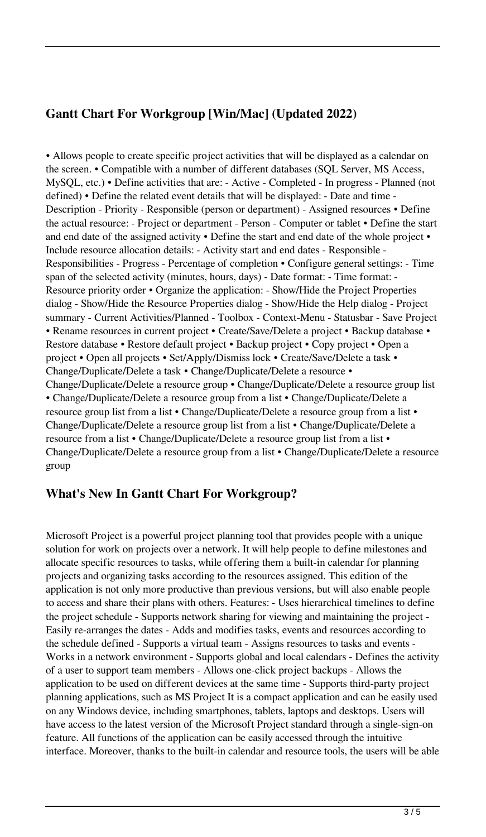### **Gantt Chart For Workgroup [Win/Mac] (Updated 2022)**

• Allows people to create specific project activities that will be displayed as a calendar on the screen. • Compatible with a number of different databases (SQL Server, MS Access, MySQL, etc.) • Define activities that are: - Active - Completed - In progress - Planned (not defined) • Define the related event details that will be displayed: - Date and time - Description - Priority - Responsible (person or department) - Assigned resources • Define the actual resource: - Project or department - Person - Computer or tablet • Define the start and end date of the assigned activity • Define the start and end date of the whole project • Include resource allocation details: - Activity start and end dates - Responsible - Responsibilities - Progress - Percentage of completion • Configure general settings: - Time span of the selected activity (minutes, hours, days) - Date format: - Time format: - Resource priority order • Organize the application: - Show/Hide the Project Properties dialog - Show/Hide the Resource Properties dialog - Show/Hide the Help dialog - Project summary - Current Activities/Planned - Toolbox - Context-Menu - Statusbar - Save Project • Rename resources in current project • Create/Save/Delete a project • Backup database • Restore database • Restore default project • Backup project • Copy project • Open a project • Open all projects • Set/Apply/Dismiss lock • Create/Save/Delete a task • Change/Duplicate/Delete a task • Change/Duplicate/Delete a resource • Change/Duplicate/Delete a resource group • Change/Duplicate/Delete a resource group list • Change/Duplicate/Delete a resource group from a list • Change/Duplicate/Delete a resource group list from a list • Change/Duplicate/Delete a resource group from a list • Change/Duplicate/Delete a resource group list from a list • Change/Duplicate/Delete a resource from a list • Change/Duplicate/Delete a resource group list from a list • Change/Duplicate/Delete a resource group from a list • Change/Duplicate/Delete a resource group

#### **What's New In Gantt Chart For Workgroup?**

Microsoft Project is a powerful project planning tool that provides people with a unique solution for work on projects over a network. It will help people to define milestones and allocate specific resources to tasks, while offering them a built-in calendar for planning projects and organizing tasks according to the resources assigned. This edition of the application is not only more productive than previous versions, but will also enable people to access and share their plans with others. Features: - Uses hierarchical timelines to define the project schedule - Supports network sharing for viewing and maintaining the project - Easily re-arranges the dates - Adds and modifies tasks, events and resources according to the schedule defined - Supports a virtual team - Assigns resources to tasks and events - Works in a network environment - Supports global and local calendars - Defines the activity of a user to support team members - Allows one-click project backups - Allows the application to be used on different devices at the same time - Supports third-party project planning applications, such as MS Project It is a compact application and can be easily used on any Windows device, including smartphones, tablets, laptops and desktops. Users will have access to the latest version of the Microsoft Project standard through a single-sign-on feature. All functions of the application can be easily accessed through the intuitive interface. Moreover, thanks to the built-in calendar and resource tools, the users will be able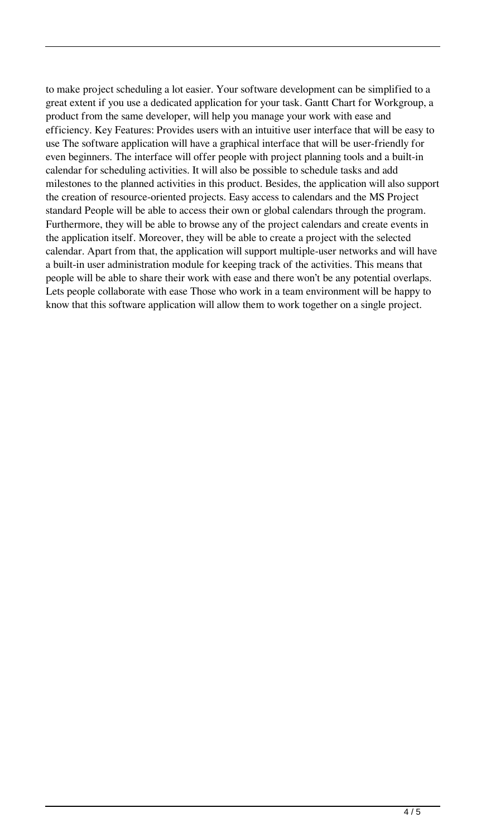to make project scheduling a lot easier. Your software development can be simplified to a great extent if you use a dedicated application for your task. Gantt Chart for Workgroup, a product from the same developer, will help you manage your work with ease and efficiency. Key Features: Provides users with an intuitive user interface that will be easy to use The software application will have a graphical interface that will be user-friendly for even beginners. The interface will offer people with project planning tools and a built-in calendar for scheduling activities. It will also be possible to schedule tasks and add milestones to the planned activities in this product. Besides, the application will also support the creation of resource-oriented projects. Easy access to calendars and the MS Project standard People will be able to access their own or global calendars through the program. Furthermore, they will be able to browse any of the project calendars and create events in the application itself. Moreover, they will be able to create a project with the selected calendar. Apart from that, the application will support multiple-user networks and will have a built-in user administration module for keeping track of the activities. This means that people will be able to share their work with ease and there won't be any potential overlaps. Lets people collaborate with ease Those who work in a team environment will be happy to know that this software application will allow them to work together on a single project.